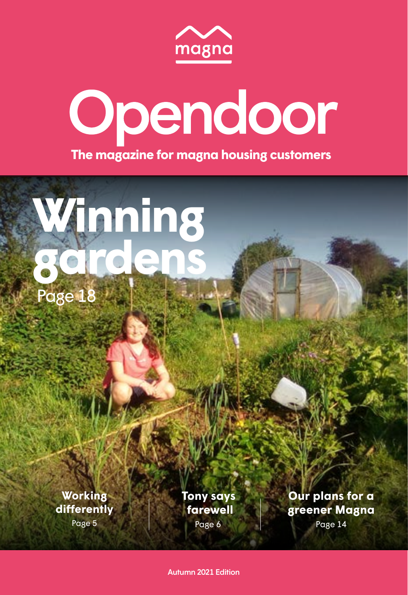





**Working [differently](#page-2-0)**

Page 5

Page 6 **[Tony says](#page-3-0) farewell**

**[Our plans for a](#page-7-0)  greener Magna**

Page 14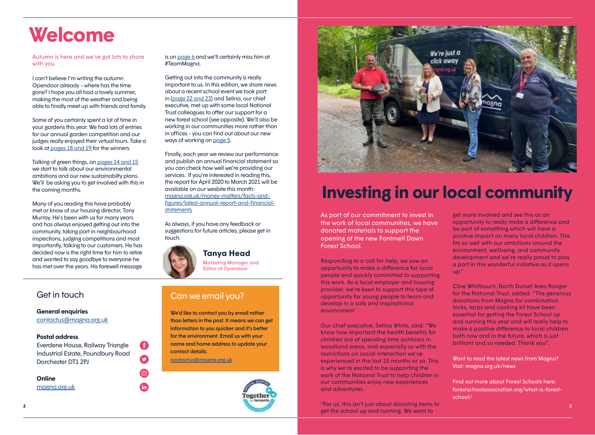# **Welcome**

Autumn is here and we've got lots to share with you.

I can't believe I'm writing the autumn Opendoor already - where has the time gone? I hope you all had a lovely summer, making the most of the weather and being able to finally meet up with friends and family.

Some of you certainly spent a lot of time in your gardens this year. We had lots of entries for our annual garden competition and our judges really enjoyed their virtual tours. Take a look at [pages 18 and 19 f](#page-9-0)or the winners.

Talking of green things, on [pages 14 and 15](#page-7-0) we start to talk about our environmental ambitions and our new sustainabilty plans. We'll be asking you to get involved with this in the coming months.

Many of you reading this have probably met or know of our housing director, Tony Murray. He's been with us for many years and has always enjoyed getting out into the community, taking part in neighbourhood inspections, judging competitions and most importantly, talking to our customers. He has decided now is the right time for him to retire and wanted to say goodbye to everyone he has met over the years. His farewell message

### **General enquiries**

[contactus@magna.org.uk](mailto:contactus%40magna.org.uk?subject=)

#### **Postal address**

Everdene House, Railway Triangle Industrial Estate, Poundbury Road Dorchester DT1 2PJ

O

 $\boldsymbol{\Omega}$ 

 $\mathbf{m}$ 

#### **Online** [magna.org.uk](http://www.magna.org.uk)

is on [page 6](#page-3-0) and we'll certainly miss him at #TeamMagna.

Getting out into the community is really important to us. In this edition, we share news about a recent school event we took part in [\(page 22 and 23\)](#page-11-0) and Selina, our chief executive, met up with some local National Trust colleagues to offer our support for a new forest school (see opposite). We'll also be working in our communities more rather than in offices - you can find out about our new ways of working on [page 5](#page-2-0).

Finally, each year we review our performance and publish an annual financial statement so you can check how well we're providing our services. If you're interested in reading this, the report for April 2020 to March 2021 will be available on our wesbite this month: [magna.org.uk/money-matters/facts-and](https://www.magna.org.uk/money-matters/facts-and-figures/latest-annual-report-and-financial-statements)[figures/latest-annual-report-and-financial](https://www.magna.org.uk/money-matters/facts-and-figures/latest-annual-report-and-financial-statements)[statements](https://www.magna.org.uk/money-matters/facts-and-figures/latest-annual-report-and-financial-statements)

As always, if you have any feedback or suggestions for future articles, please get in touch.



### Get in touch Can we email you?

We'd like to contact you by email rather than letters in the post. It means we can get information to you quicker and it's better for the environment. Email us with your name and home address to update your contact details:

[contactus@magna.org.uk](mailto:contactus%40magna.org.uk?subject=)





# **Investing in our local community**

As part of our commitment to invest in the work of local communities, we have donated materials to support the opening of the new Fontmell Down Forest School.

Responding to a call for help, we saw an opportunity to make a difference for local people and quickly committed to supporting this work. As a local employer and housing provider, we're keen to support this type of opportunity for young people to learn and develop in a safe and inspirational environment.

Our chief executive, Selina White, said: "We know how important the health benefits for children are of spending time outdoors in woodland areas, and especially so with the restrictions on social interaction we've experienced in the last 15 months or so. This is why we're excited to be supporting the work of the National Trust to help children in our communities enjoy new experiences and adventures.

"For us, this isn't just about donating items to get the school up and running. We want to

get more involved and see this as an opportunity to really make a difference and be part of something which will have a positive impact on many local children. This fits so well with our ambitions around the environment, wellbeing, and community development and we're really proud to play a part in this wonderful initiative as it opens up."

Clive Whitbourn, North Dorset Area Ranger for the National Trust, added: "The generous donations from Magna for combination locks, tarps and cooking kit have been essential for getting the Forest School up and running this year and will really help to make a positive difference to local children both now and in the future, which is just brilliant and so needed. Thank you".

Want to read the latest news from Magna? Visit: [magna.org.uk/news](http://www.magna.org.uk/news)

Find out more about Forest Schools here: [forestschoolassociation.org/what-is-forest](https://forestschoolassociation.org/what-is-forest-school/)[school/](https://forestschoolassociation.org/what-is-forest-school/)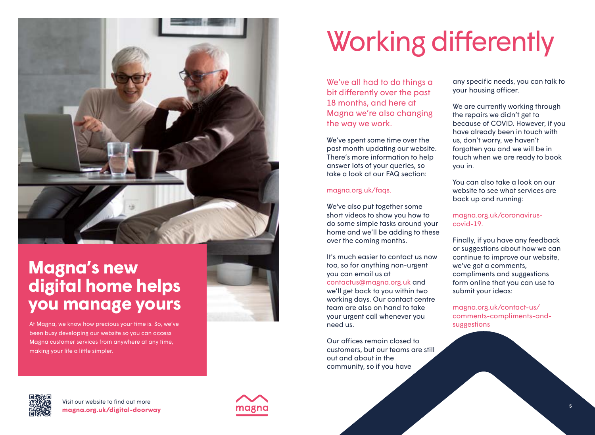<span id="page-2-0"></span>

## **Magna's new [digital home helps](http://www.magna.org.uk/digital-doorway)  you manage yours**

At Magna, we know how precious your time is. So, we've been busy developing our website so you can access Magna customer services from anywhere at any time, making your life a little simpler.

# Working differently

We've all had to do things a bit differently over the past 18 months, and here at Magna we're also changing the way we work.

We've spent some time over the past month updating our website. There's more information to help answer lots of your queries, so take a look at our FAQ section:

#### [magna.org.uk/faqs](http://www.magna.org.uk/faqs).

We've also put together some short videos to show you how to do some simple tasks around your home and we'll be adding to these over the coming months.

It's much easier to contact us now too, so for anything non-urgent you can email us at contactus@magna.org.uk and we'll get back to you within two working days. Our contact centre team are also on hand to take your urgent call whenever you need us.

Our offices remain closed to customers, but our teams are still out and about in the community, so if you have

any specific needs, you can talk to your housing officer.

We are currently working through the repairs we didn't get to because of COVID. However, if you have already been in touch with us, don't worry, we haven't forgotten you and we will be in touch when we are ready to book you in.

You can also take a look on our website to see what services are back up and running:

### [magna.org.uk/coronavirus](http://www.magna.org.uk/coronavirus-covid-19)[covid-19.](http://www.magna.org.uk/coronavirus-covid-19)

Finally, if you have any feedback or suggestions about how we can continue to improve our website, we've got a comments, compliments and suggestions form online that you can use to submit your ideas:

[magna.org.uk/contact-us/](http://www.magna.org.uk/contact-us/comments-compliments-and-suggestions) [comments-compliments-and](http://www.magna.org.uk/contact-us/comments-compliments-and-suggestions)[suggestions](http://www.magna.org.uk/contact-us/comments-compliments-and-suggestions)



**<sup>4</sup> magna.org.uk/digital-doorway** Visit our website to find out more

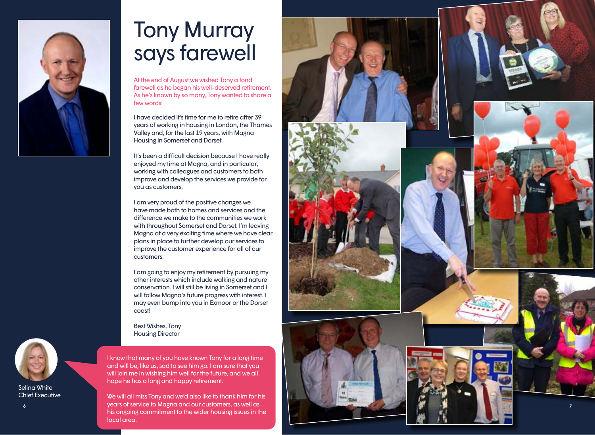<span id="page-3-0"></span>

# Tony Murray says farewell

At the end of August we wished Tony a fond farewell as he began his well-deserved retirement. As he's known by so many, Tony wanted to share a few words:

I have decided it's time for me to retire after 39 years of working in housing in London, the Thames Valley and, for the last 19 years, with Magna Housing in Somerset and Dorset.

It's been a difficult decision because I have really enjoyed my time at Magna, and in particular, working with colleagues and customers to both improve and develop the services we provide for you as customers.

I am very proud of the positive changes we have made both to homes and services and the difference we make to the communities we work with throughout Somerset and Dorset. I'm leaving Magna at a very exciting time where we have clear plans in place to further develop our services to improve the customer experience for all of our customers.

I am going to enjoy my retirement by pursuing my other interests which include walking and nature conservation. I will still be living in Somerset and I will follow Magna's future progress with interest. I may even bump into you in Exmoor or the Dorset coast!

Best Wishes, Tony Housing Director

I know that many of you have known Tony for a long time and will be, like us, sad to see him go. I am sure that you will join me in wishing him well for the future, and we all hope he has a long and happy retirement.

We will all miss Tony and we'd also like to thank him for his years of service to Magna and our customers, as well as his ongoing commitment to the wider housing issues in the local area.



**7**



Selina White Chief Executive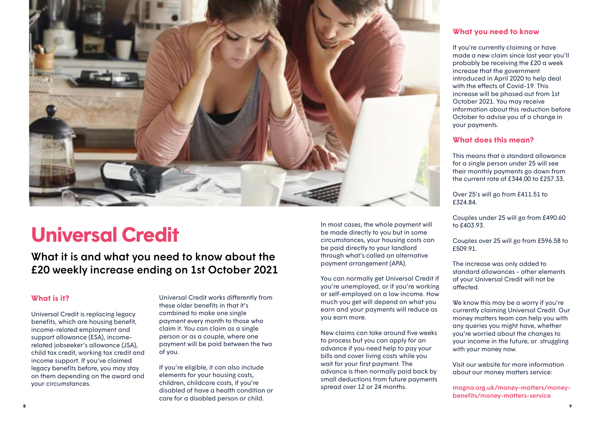

# **Universal Credit**

### What it is and what you need to know about the £20 weekly increase ending on 1st October 2021

### **What is it?**

Universal Credit is replacing legacy benefits, which are housing benefit, income-related employment and support allowance (ESA), incomerelated jobseeker's allowance (JSA), child tax credit, working tax credit and income support. If you've claimed legacy benefits before, you may stay on them depending on the award and your circumstances.

Universal Credit works differently from these older benefits in that it's combined to make one single payment every month to those who claim it. You can claim as a single person or as a couple, where one payment will be paid between the two of you.

If you're eligible, it can also include elements for your housing costs, children, childcare costs, if you're disabled of have a health condition or care for a disabled person or child.

In most cases, the whole payment will be made directly to you but in some circumstances, your housing costs can be paid directly to your landlord through what's called an alternative payment arrangement (APA).

You can normally get Universal Credit if you're unemployed, or if you're working or self-employed on a low income. How much you get will depend on what you earn and your payments will reduce as you earn more.

New claims can take around five weeks to process but you can apply for an advance if you need help to pay your bills and cover living costs while you wait for your first payment. The advance is then normally paid back by small deductions from future payments spread over 12 or 24 months.

### **What you need to know**

If you're currently claiming or have made a new claim since last year you'll probably be receiving the £20 a week increase that the government introduced in April 2020 to help deal with the effects of Covid-19. This increase will be phased out from 1st October 2021. You may receive information about this reduction before October to advise you of a change in your payments.

### **What does this mean?**

This means that a standard allowance for a single person under 25 will see their monthly payments go down from the current rate of £344.00 to £257.33.

Over 25's will go from £411.51 to £324.84.

Couples under 25 will go from £490.60 to £403.93.

Couples over 25 will go from £596.58 to £509.91.

The increase was only added to standard allowances - other elements of your Universal Credit will not be affected.

We know this may be a worry if you're currently claiming Universal Credit. Our money matters team can help you with any queries you might have, whether you're worried about the changes to your income in the future, or struggling with your money now.

Visit our website for more information about our money matters service:

[magna.org.uk/money-matters/money](http://www.magna.org.uk/money-matters/money-benefits/money-matters-service)[benefits/money-matters-service](http://www.magna.org.uk/money-matters/money-benefits/money-matters-service)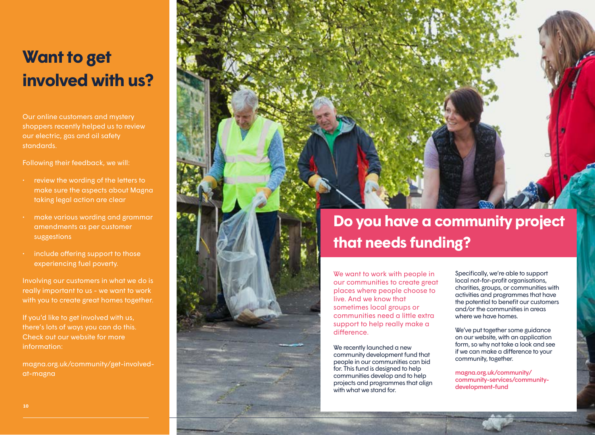# **Want to get involved with us?**

Our online customers and mystery shoppers recently helped us to review our electric, gas and oil safety standards.

Following their feedback, we will:

- review the wording of the letters to make sure the aspects about Magna taking legal action are clear
- make various wording and grammar amendments as per customer suggestions
- include offering support to those experiencing fuel poverty.

Involving our customers in what we do is really important to us - we want to work with you to create great homes together.

If you'd like to get involved with us, there's lots of ways you can do this. Check out our website for more information:

[magna.org.uk/community/get-involved](http://www.magna.org.uk/community/get-involved-at-magna)[at-magna](http://www.magna.org.uk/community/get-involved-at-magna)



## **Do you have a community project that needs funding?**

We want to work with people in our communities to create great places where people choose to live. And we know that sometimes local groups or communities need a little extra support to help really make a difference.

We recently launched a new community development fund that people in our communities can bid for. This fund is designed to help communities develop and to help projects and programmes that align with what we stand for.

Specifically, we're able to support local not-for-profit organisations, charities, groups, or communities with activities and programmes that have the potential to benefit our customers and/or the communities in areas where we have homes.

We've put together some guidance on our website, with an application form, so why not take a look and see if we can make a difference to your community, together.

[magna.org.uk/community/](http://www.magna.org.uk/community/community-services/community-development-fund) [community-services/community](http://www.magna.org.uk/community/community-services/community-development-fund)[development-fund](http://www.magna.org.uk/community/community-services/community-development-fund)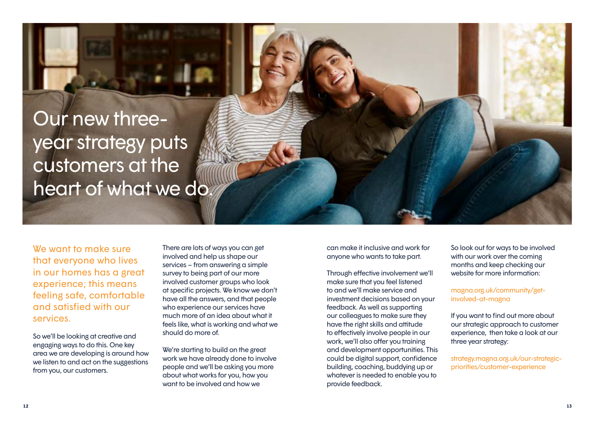# Our new threeyear strategy puts customers at the heart of what we do.

We want to make sure that everyone who lives in our homes has a great experience; this means feeling safe, comfortable and satisfied with our services.

So we'll be looking at creative and engaging ways to do this. One key area we are developing is around how we listen to and act on the suggestions from you, our customers.

There are lots of ways you can get involved and help us shape our services – from answering a simple survey to being part of our more involved customer groups who look at specific projects. We know we don't have all the answers, and that people who experience our services have much more of an idea about what it feels like, what is working and what we should do more of.

We're starting to build on the great work we have already done to involve people and we'll be asking you more about what works for you, how you want to be involved and how we

can make it inclusive and work for anyone who wants to take part.

Through effective involvement we'll make sure that you feel listened to and we'll make service and investment decisions based on your feedback. As well as supporting our colleagues to make sure they have the right skills and attitude to effectively involve people in our work, we'll also offer you training and development opportunities. This could be digital support, confidence building, coaching, buddying up or whatever is needed to enable you to provide feedback.

So look out for ways to be involved with our work over the coming months and keep checking our website for more information:

### [magna.org.uk/community/get](http://www.magna.org.uk/community/get-involved-at-magna)[involved-at-magna](http://www.magna.org.uk/community/get-involved-at-magna)

If you want to find out more about our strategic approach to customer experience, then take a look at our three year strategy:

[strategy.magna.org.uk/our-strategic](http://strategy.magna.org.uk/our-strategic-priorities/customer-experience)[priorities/customer-experience](http://strategy.magna.org.uk/our-strategic-priorities/customer-experience)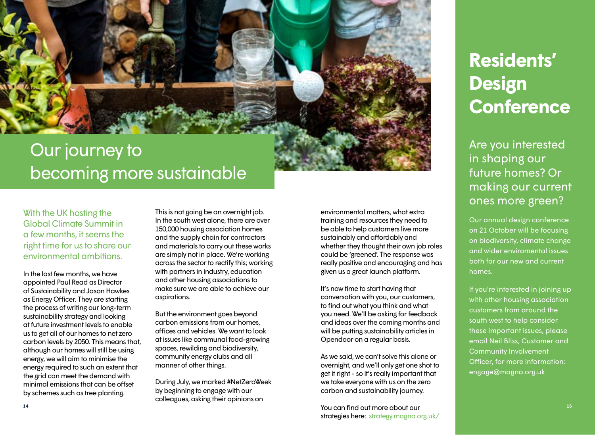<span id="page-7-0"></span>

# becoming more sustainable

With the UK hosting the Global Climate Summit in a few months, it seems the right time for us to share our environmental ambitions.

In the last few months, we have appointed Paul Read as Director of Sustainability and Jason Hawkes as Energy Officer. They are starting the process of writing our long-term sustainability strategy and looking at future investment levels to enable us to get all of our homes to net zero carbon levels by 2050. This means that, although our homes will still be using energy, we will aim to minimise the energy required to such an extent that the grid can meet the demand with minimal emissions that can be offset by schemes such as tree planting.

This is not going be an overnight job. In the south west alone, there are over 150,000 housing association homes and the supply chain for contractors and materials to carry out these works are simply not in place. We're working across the sector to rectify this; working with partners in industry, education and other housing associations to make sure we are able to achieve our aspirations.

But the environment goes beyond carbon emissions from our homes, offices and vehicles. We want to look at issues like communal food-growing spaces, rewilding and biodiversity, community energy clubs and all manner of other things.

During July, we marked #NetZeroWeek by beginning to engage with our colleagues, asking their opinions on

environmental matters, what extra training and resources they need to be able to help customers live more sustainably and affordably and whether they thought their own job roles could be 'greened'. The response was really positive and encouraging and has given us a great launch platform.

It's now time to start having that conversation with you, our customers, to find out what you think and what you need. We'll be asking for feedback and ideas over the coming months and will be putting sustainability articles in Opendoor on a regular basis.

As we said, we can't solve this alone or overnight, and we'll only get one shot to get it right - so it's really important that we take everyone with us on the zero carbon and sustainability journey.

You can find out more about our strategies here: [strategy.magna.org.uk/](http://strategy.magna.org.uk/) 

# **Residents' Design Conference**

Are you interested in shaping our future homes? Or making our current ones more green?

Our annual design conference on 21 October will be focusing on biodiversity, climate change and wider enviromental issues both for our new and current homes.

If you're interested in joining up with other housing association customers from around the south west to help consider these important issues, please email Neil Bliss, Customer and Community Involvement Officer, for more information: [engage@magna.org.uk](mailto:engage%40magna.org.uk?subject=)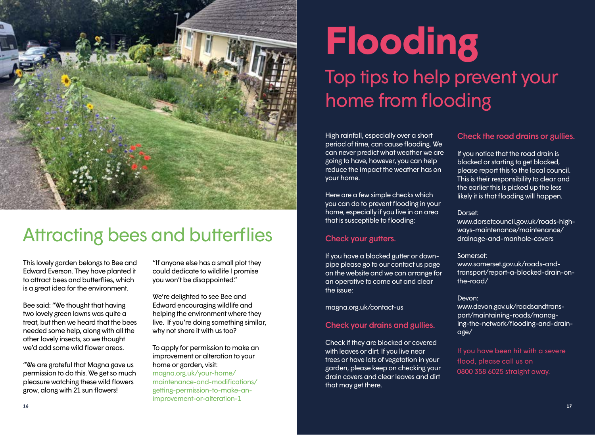

# Attracting bees and butterflies

This lovely garden belongs to Bee and Edward Everson. They have planted it to attract bees and butterflies, which is a great idea for the environment.

Bee said: "We thought that having two lovely green lawns was quite a treat, but then we heard that the bees needed some help, along with all the other lovely insects, so we thought we'd add some wild flower areas.

"We are grateful that Magna gave us permission to do this. We get so much pleasure watching these wild flowers grow, along with 21 sun flowers!

"If anyone else has a small plot they could dedicate to wildlife I promise you won't be disappointed."

We're delighted to see Bee and Edward encouraging wildlife and helping the environment where they live. If you're doing something similar, why not share it with us too?

To apply for permission to make an improvement or alteration to your home or garden, visit: [magna.org.uk/your-home/](https://www.magna.org.uk/your-home/maintenance-and-modifications/getting-permission-to-make-an-improvement-or-alteration-1) [maintenance-and-modifications/](https://www.magna.org.uk/your-home/maintenance-and-modifications/getting-permission-to-make-an-improvement-or-alteration-1)

### [getting-permission-to-make-an](https://www.magna.org.uk/your-home/maintenance-and-modifications/getting-permission-to-make-an-improvement-or-alteration-1)[improvement-or-alteration-1](https://www.magna.org.uk/your-home/maintenance-and-modifications/getting-permission-to-make-an-improvement-or-alteration-1)

# **Flooding** Top tips to help prevent your home from flooding

High rainfall, especially over a short period of time, can cause flooding. We can never predict what weather we are going to have, however, you can help reduce the impact the weather has on your home.

Here are a few simple checks which you can do to prevent flooding in your home, especially if you live in an area that is susceptible to flooding:

### Check your gutters.

If you have a blocked gutter or downpipe please go to our contact us page on the website and we can arrange for an operative to come out and clear the issue:

[magna.org.uk/contact-us](http://www.magna.org.uk/contact-us )

### Check your drains and gullies.

Check if they are blocked or covered with leaves or dirt. If you live near trees or have lots of vegetation in your garden, please keep on checking your drain covers and clear leaves and dirt that may get there.

### Check the road drains or gullies.

If you notice that the road drain is blocked or starting to get blocked, please report this to the local council. This is their responsibility to clear and the earlier this is picked up the less likely it is that flooding will happen.

### Dorset:

[www.dorsetcouncil.gov.uk/roads-high](http://www.dorsetcouncil.gov.uk/roads-highways-maintenance/maintenance/drainage-and-manhole-covers)[ways-maintenance/maintenance/](http://www.dorsetcouncil.gov.uk/roads-highways-maintenance/maintenance/drainage-and-manhole-covers) [drainage-and-manhole-covers](http://www.dorsetcouncil.gov.uk/roads-highways-maintenance/maintenance/drainage-and-manhole-covers)

### Somerset:

[www.somerset.gov.uk/roads-and](http://www.somerset.gov.uk/roads-and-transport/report-a-blocked-drain-on-the-road/)[transport/report-a-blocked-drain-on](http://www.somerset.gov.uk/roads-and-transport/report-a-blocked-drain-on-the-road/)[the-road/](http://www.somerset.gov.uk/roads-and-transport/report-a-blocked-drain-on-the-road/)

### Devon:

[www.devon.gov.uk/roadsandtrans](http://www.devon.gov.uk/roadsandtransport/maintaining-roads/managing-the-network/flooding-and-drainage/)[port/maintaining-roads/manag](http://www.devon.gov.uk/roadsandtransport/maintaining-roads/managing-the-network/flooding-and-drainage/)[ing-the-network/flooding-and-drain](http://www.devon.gov.uk/roadsandtransport/maintaining-roads/managing-the-network/flooding-and-drainage/)[age/](http://www.devon.gov.uk/roadsandtransport/maintaining-roads/managing-the-network/flooding-and-drainage/)

If you have been hit with a severe flood, please call us on 0800 358 6025 straight away.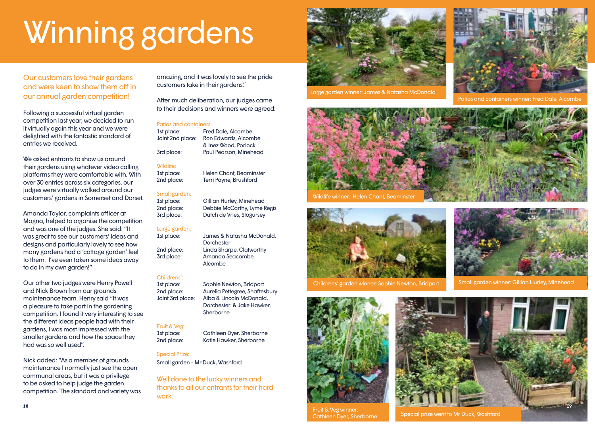# <span id="page-9-0"></span>Winning gardens

Our customers love their gardens and were keen to show them off in our annual garden competition!

Following a successful virtual garden competition last year, we decided to run it virtually again this year and we were delighted with the fantastic standard of entries we received.

We asked entrants to show us around their gardens using whatever video calling platforms they were comfortable with. With over 30 entries across six categories, our judges were virtually walked around our customers' gardens in Somerset and Dorset.

Amanda Taylor, complaints officer at Magna, helped to organise the competition and was one of the judges. She said: "It was great to see our customers' ideas and designs and particularly lovely to see how many gardens had a 'cottage garden' feel to them. I've even taken some ideas away to do in my own garden!"

Our other two judges were Henry Powell and Nick Brown from our grounds maintenance team. Henry said "It was a pleasure to take part in the gardening competition. I found it very interesting to see the different ideas people had with their gardens, I was most impressed with the smaller gardens and how the space they had was so well used".

Nick added: "As a member of grounds maintenance I normally just see the open communal areas, but it was a privilege to be asked to help judge the garden competition. The standard and variety was amazing, and it was lovely to see the pride customers take in their gardens."

After much deliberation, our judges came to their decisions and winners were agreed:

#### Patios and containers:

1st place: Fred Dale, Alcombe Joint 2nd place: Ron Edwards, Alcombe & Inez Wood, Porlock 3rd place: Paul Pearson, Minehead

**Dorchester** 

Alcombe

Sherborne

Dorchester & Jake Hawker,

#### Wildlife:

1st place: Helen Chant, Beaminster 2nd place: Terri Payne, Brushford

#### Small garden:

1st place: Gillian Hurley, Minehead 2nd place: Debbie McCarthy, Lyme Regis 3rd place: Dutch de Vries, Stogursey

#### Large garden: 1st place: James & Natasha McDonald,

2nd place: Linda Sharpe, Clatworthy 3rd place: Amanda Seacombe,

Childrens':

1st place: Sophie Newton, Bridport 2nd place: Aurelia Pettegree, Shaftesbury Joint 3rd place: Alba & Lincoln McDonald,

#### Fruit & Veg:

1st place: Cathleen Dyer, Sherborne 2nd place: Katie Hawker, Sherborne

#### Special Prize:

Small garden - Mr Duck, Washford

Well done to the lucky winners and thanks to all our entrants for their hard work.



Large garden winner: James & Natasha McDonald



Patios and containers winner: Fred Dale, Alcombe

Small garden winner: Gillian Hurley, Minehead



Wildlife winner: Helen Chant, Beaminster







**18 19**

Fruit & Veg winner: Cathleen Dyer, Sherborne

Special prize went to Mr Duck, Washford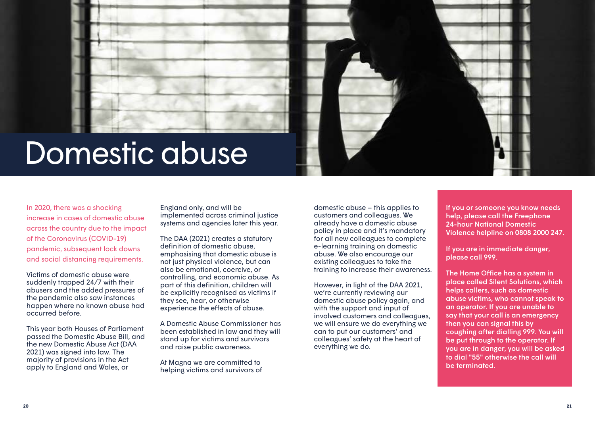

# Domestic abuse

In 2020, there was a shocking increase in cases of domestic abuse across the country due to the impact of the Coronavirus (COVID-19) pandemic, subsequent lock downs and social distancing requirements.

Victims of domestic abuse were suddenly trapped 24/7 with their abusers and the added pressures of the pandemic also saw instances happen where no known abuse had occurred before.

This year both Houses of Parliament passed the Domestic Abuse Bill, and the new Domestic Abuse Act (DAA 2021) was signed into law. The majority of provisions in the Act apply to England and Wales, or

England only, and will be implemented across criminal justice systems and agencies later this year.

The DAA (2021) creates a statutory definition of domestic abuse, emphasising that domestic abuse is not just physical violence, but can also be emotional, coercive, or controlling, and economic abuse. As part of this definition, children will be explicitly recognised as victims if they see, hear, or otherwise experience the effects of abuse.

A Domestic Abuse Commissioner has been established in law and they will stand up for victims and survivors and raise public awareness.

At Magna we are committed to helping victims and survivors of

domestic abuse – this applies to customers and colleagues. We already have a domestic abuse policy in place and it's mandatory for all new colleagues to complete e-learning training on domestic abuse. We also encourage our existing colleagues to take the training to increase their awareness.

However, in light of the DAA 2021, we're currently reviewing our domestic abuse policy again, and with the support and input of involved customers and colleagues, we will ensure we do everything we can to put our customers' and colleagues' safety at the heart of everything we do.

If you or someone you know needs help, please call the Freephone 24-hour National Domestic Violence helpline on 0808 2000 247.

If you are in immediate danger, please call 999.

The Home Office has a system in place called Silent Solutions, which helps callers, such as domestic abuse victims, who cannot speak to an operator. If you are unable to say that your call is an emergency then you can signal this by coughing after dialling 999. You will be put through to the operator. If you are in danger, you will be asked to dial "55" otherwise the call will be terminated.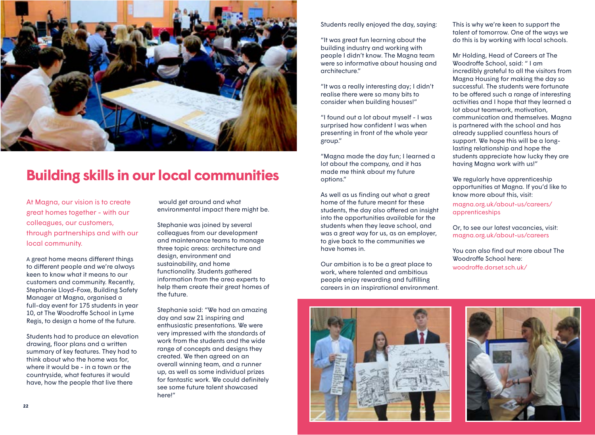<span id="page-11-0"></span>

## **Building skills in our local communities**

At Magna, our vision is to create great homes together - with our colleagues, our customers, through partnerships and with our local community.

A great home means different things to different people and we're always keen to know what it means to our customers and community. Recently, Stephanie Lloyd-Foxe, Building Safety Manager at Magna, organised a full-day event for 175 students in year 10, at The Woodroffe School in Lyme Regis, to design a home of the future.

Students had to produce an elevation drawing, floor plans and a written summary of key features. They had to think about who the home was for, where it would be - in a town or the countryside, what features it would have, how the people that live there

 would get around and what environmental impact there might be.

Stephanie was joined by several colleagues from our development and maintenance teams to manage three topic areas: architecture and design, environment and sustainability, and home functionality. Students gathered information from the area experts to help them create their great homes of the future.

Stephanie said: "We had an amazing day and saw 21 inspiring and enthusiastic presentations. We were very impressed with the standards of work from the students and the wide range of concepts and designs they created. We then agreed on an overall winning team, and a runner up, as well as some individual prizes for fantastic work. We could definitely see some future talent showcased here!"

Students really enjoyed the day, saying:

"It was great fun learning about the building industry and working with people I didn't know. The Magna team were so informative about housing and architecture."

"It was a really interesting day; I didn't realise there were so many bits to consider when building houses!"

"I found out a lot about myself - I was surprised how confident I was when presenting in front of the whole year group."

"Magna made the day fun; I learned a lot about the company, and it has made me think about my future options."

As well as us finding out what a great home of the future meant for these students, the day also offered an insight into the opportunities available for the students when they leave school, and was a great way for us, as an employer, to give back to the communities we have homes in.

Our ambition is to be a great place to work, where talented and ambitious people enjoy rewarding and fulfilling careers in an inspirational environment.



This is why we're keen to support the talent of tomorrow. One of the ways we do this is by working with local schools.

Mr Holding, Head of Careers at The Woodroffe School, said: " I am incredibly grateful to all the visitors from Magna Housing for making the day so successful. The students were fortunate to be offered such a range of interesting activities and I hope that they learned a lot about teamwork, motivation, communication and themselves. Magna is partnered with the school and has already supplied countless hours of support. We hope this will be a longlasting relationship and hope the students appreciate how lucky they are having Magna work with us!"

We regularly have apprenticeship opportunities at Magna. If you'd like to know more about this, visit:

[magna.org.uk/about-us/careers/](http://www.magna.org.uk/about-us/careers/apprenticeships ) [apprenticeships](http://www.magna.org.uk/about-us/careers/apprenticeships )

Or, to see our latest vacancies, visit: [magna.org.uk/about-us/careers](http://www.magna.org.uk/about-us/careers )

You can also find out more about The Woodroffe School here: [woodroffe.dorset.sch.uk/](http://www.woodroffe.dorset.sch.uk/)